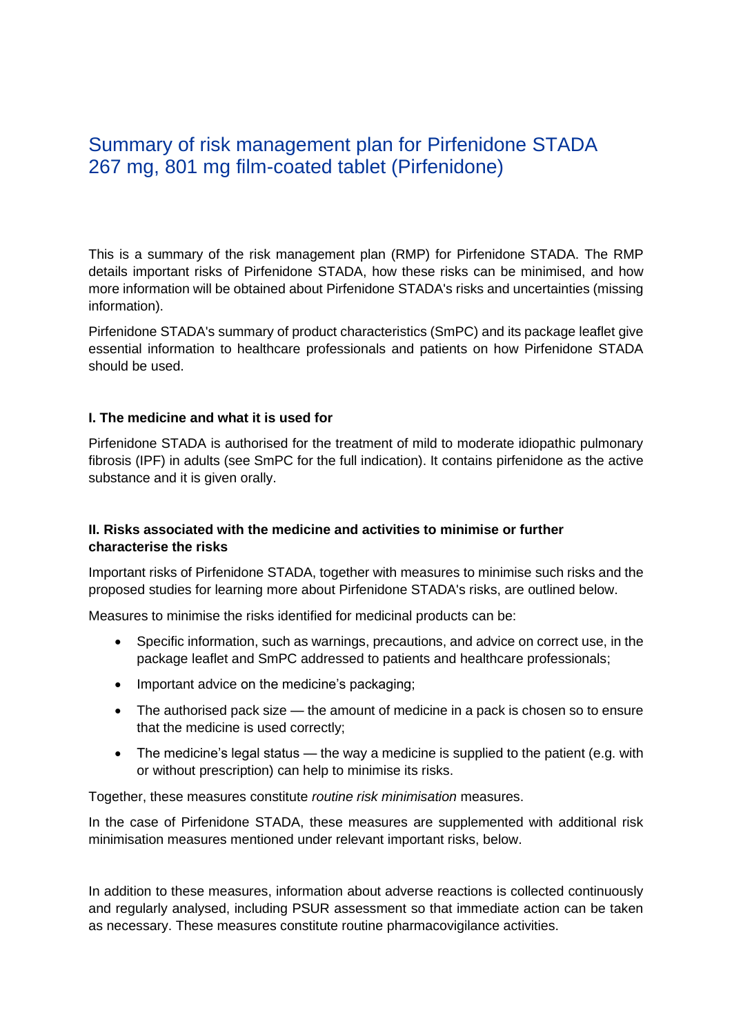# Summary of risk management plan for Pirfenidone STADA 267 mg, 801 mg film-coated tablet (Pirfenidone)

This is a summary of the risk management plan (RMP) for Pirfenidone STADA. The RMP details important risks of Pirfenidone STADA, how these risks can be minimised, and how more information will be obtained about Pirfenidone STADA's risks and uncertainties (missing information).

Pirfenidone STADA's summary of product characteristics (SmPC) and its package leaflet give essential information to healthcare professionals and patients on how Pirfenidone STADA should be used.

#### **I. The medicine and what it is used for**

Pirfenidone STADA is authorised for the treatment of mild to moderate idiopathic pulmonary fibrosis (IPF) in adults (see SmPC for the full indication). It contains pirfenidone as the active substance and it is given orally.

#### **II. Risks associated with the medicine and activities to minimise or further characterise the risks**

Important risks of Pirfenidone STADA, together with measures to minimise such risks and the proposed studies for learning more about Pirfenidone STADA's risks, are outlined below.

Measures to minimise the risks identified for medicinal products can be:

- Specific information, such as warnings, precautions, and advice on correct use, in the package leaflet and SmPC addressed to patients and healthcare professionals;
- Important advice on the medicine's packaging;
- The authorised pack size the amount of medicine in a pack is chosen so to ensure that the medicine is used correctly;
- The medicine's legal status the way a medicine is supplied to the patient (e.g. with or without prescription) can help to minimise its risks.

Together, these measures constitute *routine risk minimisation* measures.

In the case of Pirfenidone STADA, these measures are supplemented with additional risk minimisation measures mentioned under relevant important risks, below.

In addition to these measures, information about adverse reactions is collected continuously and regularly analysed, including PSUR assessment so that immediate action can be taken as necessary. These measures constitute routine pharmacovigilance activities.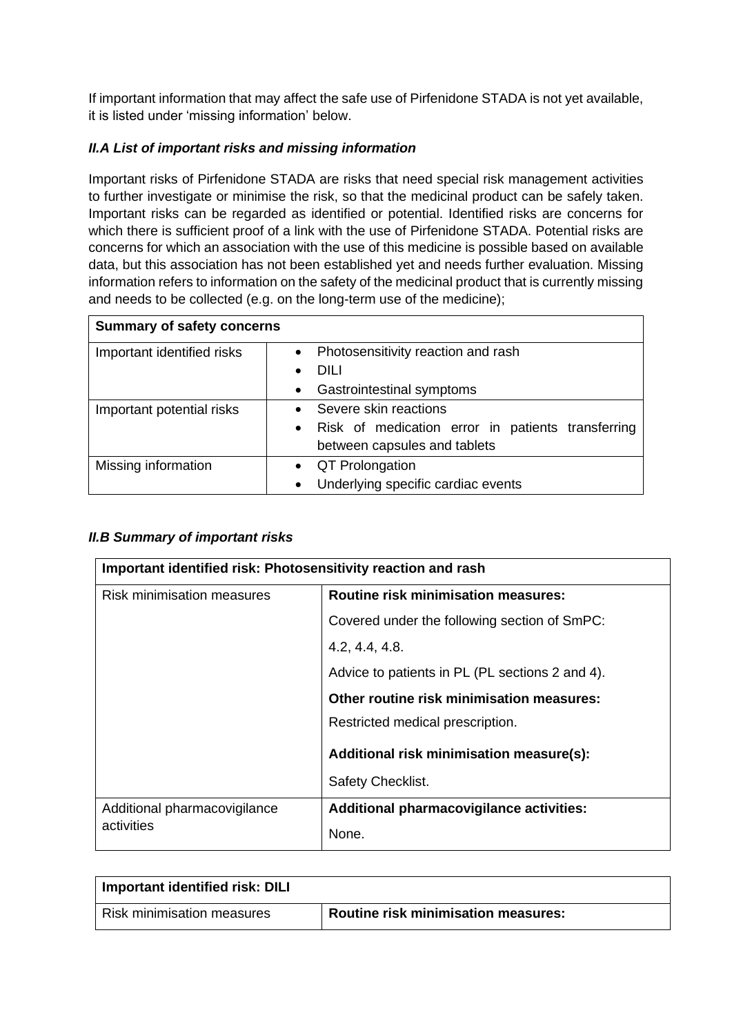If important information that may affect the safe use of Pirfenidone STADA is not yet available, it is listed under 'missing information' below.

## *II.A List of important risks and missing information*

Important risks of Pirfenidone STADA are risks that need special risk management activities to further investigate or minimise the risk, so that the medicinal product can be safely taken. Important risks can be regarded as identified or potential. Identified risks are concerns for which there is sufficient proof of a link with the use of Pirfenidone STADA. Potential risks are concerns for which an association with the use of this medicine is possible based on available data, but this association has not been established yet and needs further evaluation. Missing information refers to information on the safety of the medicinal product that is currently missing and needs to be collected (e.g. on the long-term use of the medicine);

| <b>Summary of safety concerns</b> |                                                                                                                                      |  |
|-----------------------------------|--------------------------------------------------------------------------------------------------------------------------------------|--|
| Important identified risks        | Photosensitivity reaction and rash<br>$\bullet$<br><b>DILI</b><br>$\bullet$<br>Gastrointestinal symptoms<br>$\bullet$                |  |
| Important potential risks         | Severe skin reactions<br>$\bullet$<br>Risk of medication error in patients transferring<br>$\bullet$<br>between capsules and tablets |  |
| Missing information               | • QT Prolongation<br>Underlying specific cardiac events<br>$\bullet$                                                                 |  |

#### *II.B Summary of important risks*

| Important identified risk: Photosensitivity reaction and rash |                                                 |  |
|---------------------------------------------------------------|-------------------------------------------------|--|
| Risk minimisation measures                                    | <b>Routine risk minimisation measures:</b>      |  |
|                                                               | Covered under the following section of SmPC:    |  |
|                                                               | 4.2, 4.4, 4.8.                                  |  |
|                                                               | Advice to patients in PL (PL sections 2 and 4). |  |
|                                                               | Other routine risk minimisation measures:       |  |
|                                                               | Restricted medical prescription.                |  |
|                                                               | Additional risk minimisation measure(s):        |  |
|                                                               | Safety Checklist.                               |  |
| Additional pharmacovigilance                                  | Additional pharmacovigilance activities:        |  |
| activities                                                    | None.                                           |  |

| Important identified risk: DILI |                                            |  |
|---------------------------------|--------------------------------------------|--|
| Risk minimisation measures      | <b>Routine risk minimisation measures:</b> |  |